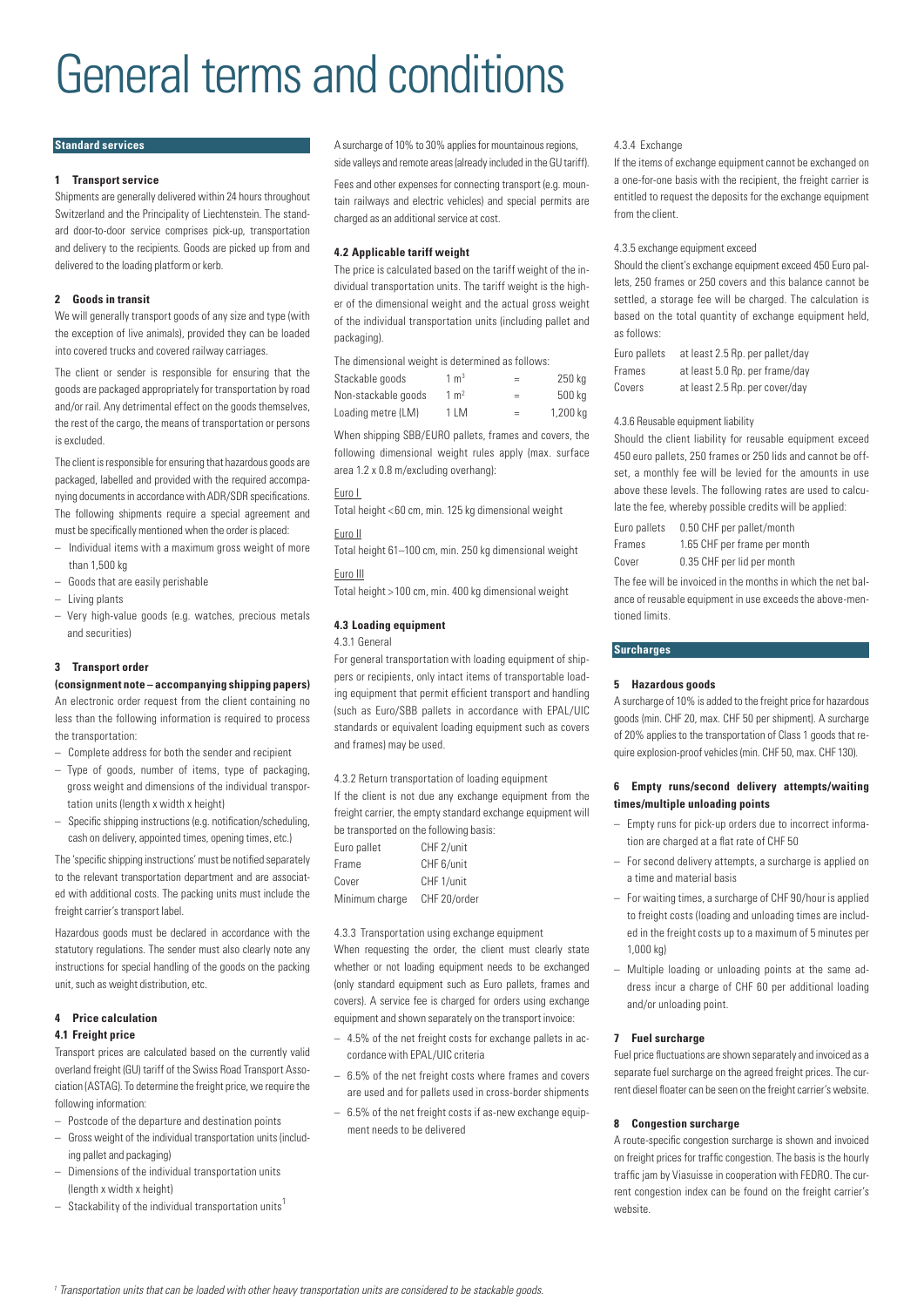# General terms and conditions

# **Standard services**

# **1 Transport service**

Shipments are generally delivered within 24 hours throughout Switzerland and the Principality of Liechtenstein. The standard door-to-door service comprises pick-up, transportation and delivery to the recipients. Goods are picked up from and delivered to the loading platform or kerb.

# **2 Goods in transit**

We will generally transport goods of any size and type (with the exception of live animals), provided they can be loaded into covered trucks and covered railway carriages.

The client or sender is responsible for ensuring that the goods are packaged appropriately for transportation by road and/or rail. Any detrimental effect on the goods themselves, the rest of the cargo, the means of transportation or persons is excluded.

The client is responsible for ensuring that hazardous goods are packaged, labelled and provided with the required accompanying documents in accordance with ADR/SDR specifications. The following shipments require a special agreement and must be specifically mentioned when the order is placed:

- Individual items with a maximum gross weight of more than 1,500 kg
- Goods that are easily perishable
- Living plants
- Very high-value goods (e.g. watches, precious metals and securities)

# **3 Transport order**

**(consignment note – accompanying shipping papers)** 

An electronic order request from the client containing no less than the following information is required to process the transportation:

- Complete address for both the sender and recipient
- Type of goods, number of items, type of packaging, gross weight and dimensions of the individual transportation units (length x width x height)
- Specific shipping instructions (e.g. notification/scheduling, cash on delivery, appointed times, opening times, etc.)

The 'specific shipping instructions' must be notified separately to the relevant transportation department and are associated with additional costs. The packing units must include the freight carrier's transport label.

Hazardous goods must be declared in accordance with the statutory regulations. The sender must also clearly note any instructions for special handling of the goods on the packing unit, such as weight distribution, etc.

# **4 Price calculation**

# **4.1 Freight price**

Transport prices are calculated based on the currently valid overland freight (GU) tariff of the Swiss Road Transport Association (ASTAG). To determine the freight price, we require the following information:

- Postcode of the departure and destination points
- Gross weight of the individual transportation units (including pallet and packaging)
- Dimensions of the individual transportation units (length x width x height)
- $-$  Stackability of the individual transportation units<sup>1</sup>

A surcharge of 10% to 30% applies for mountainous regions, side valleys and remote areas (already included in the GU tariff).

Fees and other expenses for connecting transport (e.g. mountain railways and electric vehicles) and special permits are charged as an additional service at cost.

# **4.2 Applicable tariff weight**

The price is calculated based on the tariff weight of the individual transportation units. The tariff weight is the higher of the dimensional weight and the actual gross weight of the individual transportation units (including pallet and packaging).

The dimensional weight is determined as follows:

| Stackable goods     | $1 \text{ m}^3$ | =   | 250 kg   |
|---------------------|-----------------|-----|----------|
| Non-stackable goods | $1 \text{ m}^2$ | $=$ | 500 kg   |
| Loading metre (LM)  | 1 LM            | $=$ | 1,200 kg |

When shipping SBB/EURO pallets, frames and covers, the following dimensional weight rules apply (max. surface area 1.2 x 0.8 m/excluding overhang):

## Euro I

Total height < 60 cm, min. 125 kg dimensional weight

# Euro II

Total height 61–100 cm, min. 250 kg dimensional weight

# Euro III

Total height > 100 cm, min. 400 kg dimensional weight

# **4.3 Loading equipment**

4.3.1 General

For general transportation with loading equipment of shippers or recipients, only intact items of transportable loading equipment that permit efficient transport and handling (such as Euro/SBB pallets in accordance with EPAL/UIC standards or equivalent loading equipment such as covers and frames) may be used.

4.3.2 Return transportation of loading equipment

If the client is not due any exchange equipment from the freight carrier, the empty standard exchange equipment will be transported on the following basis:

| Euro pallet    | CHF 2/unit   |
|----------------|--------------|
| Frame          | CHF 6/unit   |
| Cover          | CHF 1/unit   |
| Minimum charge | CHF 20/order |

4.3.3 Transportation using exchange equipment

When requesting the order, the client must clearly state whether or not loading equipment needs to be exchanged (only standard equipment such as Euro pallets, frames and covers). A service fee is charged for orders using exchange equipment and shown separately on the transport invoice:

- 4.5% of the net freight costs for exchange pallets in accordance with EPAL/UIC criteria
- 6.5% of the net freight costs where frames and covers are used and for pallets used in cross-border shipments
- 6.5% of the net freight costs if as-new exchange equipment needs to be delivered

#### 4.3.4 Exchange

If the items of exchange equipment cannot be exchanged on a one-for-one basis with the recipient, the freight carrier is entitled to request the deposits for the exchange equipment from the client.

#### 4.3.5 exchange equipment exceed

Should the client's exchange equipment exceed 450 Euro pallets, 250 frames or 250 covers and this balance cannot be settled, a storage fee will be charged. The calculation is based on the total quantity of exchange equipment held, as follows:

| Euro pallets | at least 2.5 Rp. per pallet/day |
|--------------|---------------------------------|
| Frames       | at least 5.0 Rp. per frame/day  |
| Covers       | at least 2.5 Rp. per cover/day  |

#### 4.3.6 Reusable equipment liability

Should the client liability for reusable equipment exceed 450 euro pallets, 250 frames or 250 lids and cannot be offset, a monthly fee will be levied for the amounts in use above these levels. The following rates are used to calculate the fee, whereby possible credits will be applied:

| Euro pallets | 0.50 CHF per pallet/month    |
|--------------|------------------------------|
| Frames       | 1.65 CHF per frame per month |
| Cover        | 0.35 CHF per lid per month   |

The fee will be invoiced in the months in which the net balance of reusable equipment in use exceeds the above-mentioned limits.

# **Surcharges**

## **5 Hazardous goods**

A surcharge of 10% is added to the freight price for hazardous goods (min. CHF 20, max. CHF 50 per shipment). A surcharge of 20% applies to the transportation of Class 1 goods that require explosion-proof vehicles (min. CHF 50, max. CHF 130).

# **6 Empty runs/second delivery attempts/waiting times/multiple unloading points**

- Empty runs for pick-up orders due to incorrect information are charged at a flat rate of CHF 50
- For second delivery attempts, a surcharge is applied on a time and material basis
- For waiting times, a surcharge of CHF 90/hour is applied to freight costs (loading and unloading times are included in the freight costs up to a maximum of 5 minutes per 1,000 kg)
- Multiple loading or unloading points at the same address incur a charge of CHF 60 per additional loading and/or unloading point.

## **7 Fuel surcharge**

Fuel price fluctuations are shown separately and invoiced as a separate fuel surcharge on the agreed freight prices. The current diesel floater can be seen on the freight carrier's website.

## **8 Congestion surcharge**

A route-specific congestion surcharge is shown and invoiced on freight prices for traffic congestion. The basis is the hourly traffic jam by Viasuisse in cooperation with FEDRO. The current congestion index can be found on the freight carrier's website.